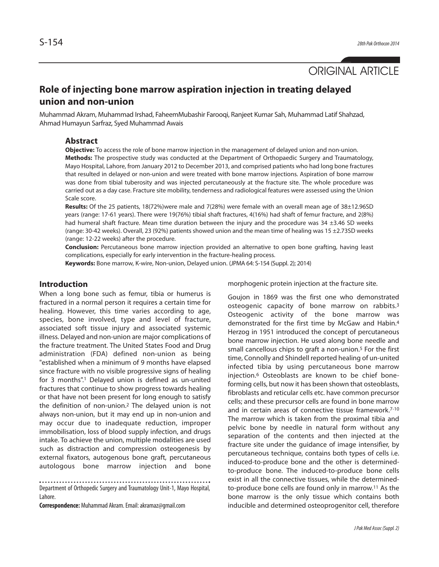

# **Role of injecting bone marrow aspiration injection in treating delayed union and non-union**

Muhammad Akram, Muhammad Irshad, FaheemMubashir Farooqi, Ranjeet Kumar Sah, Muhammad Latif Shahzad, Ahmad Humayun Sarfraz, Syed Muhammad Awais

### **Abstract**

**Objective:** To access the role of bone marrow injection in the management of delayed union and non-union. **Methods:** The prospective study was conducted at the Department of Orthopaedic Surgery and Traumatology, Mayo Hospital, Lahore, from January 2012 to December 2013, and comprised patients who had long bone fractures that resulted in delayed or non-union and were treated with bone marrow injections. Aspiration of bone marrow was done from tibial tuberosity and was injected percutaneously at the fracture site. The whole procedure was carried out as a day case. Fracture site mobility, tenderness and radiological features were assessed using the Union Scale score.

**Results:** Of the 25 patients, 18(72%)were male and 7(28%) were female with an overall mean age of 38±12.96SD years (range: 17-61 years). There were 19(76%) tibial shaft fractures, 4(16%) had shaft of femur fracture, and 2(8%) had humeral shaft fracture. Mean time duration between the injury and the procedure was  $34 \pm 3.46$  SD weeks (range: 30-42 weeks). Overall, 23 (92%) patients showed union and the mean time of healing was 15 ±2.73SD weeks (range: 12-22 weeks) after the procedure.

**Conclusion:** Percutaneous bone marrow injection provided an alternative to open bone grafting, having least complications, especially for early intervention in the fracture-healing process.

**Keywords:** Bone marrow, K-wire, Non-union, Delayed union. (JPMA 64: S-154 (Suppl. 2); 2014)

### **Introduction**

When a long bone such as femur, tibia or humerus is fractured in a normal person it requires a certain time for healing. However, this time varies according to age, species, bone involved, type and level of fracture, associated soft tissue injury and associated systemic illness. Delayed and non-union are major complications of the fracture treatment. The United States Food and Drug administration (FDA) defined non-union as being "established when a minimum of 9 months have elapsed since fracture with no visible progressive signs of healing for 3 months".<sup>1</sup> Delayed union is defined as un-united fractures that continue to show progress towards healing or that have not been present for long enough to satisfy the definition of non-union.<sup>2</sup> The delayed union is not always non-union, but it may end up in non-union and may occur due to inadequate reduction, improper immobilisation, loss of blood supply infection, and drugs intake. To achieve the union, multiple modalities are used such as distraction and compression osteogenesis by external fixators, autogenous bone graft, percutaneous autologous bone marrow injection and bone

Department of Orthopedic Surgery and Traumatology Unit-1, Mayo Hospital,

Lahore.

**Correspondence:** Muhammad Akram. Email: akramaz@gmail.com

morphogenic protein injection at the fracture site.

Goujon in 1869 was the first one who demonstrated osteogenic capacity of bone marrow on rabbits.<sup>3</sup> Osteogenic activity of the bone marrow was demonstrated for the first time by McGaw and Habin.<sup>4</sup> Herzog in 1951 introduced the concept of percutaneous bone marrow injection. He used along bone needle and small cancellous chips to graft a non-union.<sup>5</sup> For the first time, Connolly and Shindell reported healing of un-united infected tibia by using percutaneous bone marrow injection.<sup>6</sup> Osteoblasts are known to be chief boneforming cells, but now it has been shown that osteoblasts, fibroblasts and reticular cells etc. have common precursor cells; and these precursor cells are found in bone marrow and in certain areas of connective tissue framework.7-10 The marrow which is taken from the proximal tibia and pelvic bone by needle in natural form without any separation of the contents and then injected at the fracture site under the guidance of image intensifier, by percutaneous technique, contains both types of cells i.e. induced-to-produce bone and the other is determinedto-produce bone. The induced-to-produce bone cells exist in all the connective tissues, while the determinedto-produce bone cells are found only in marrow.<sup>11</sup> As the bone marrow is the only tissue which contains both inducible and determined osteoprogenitor cell, therefore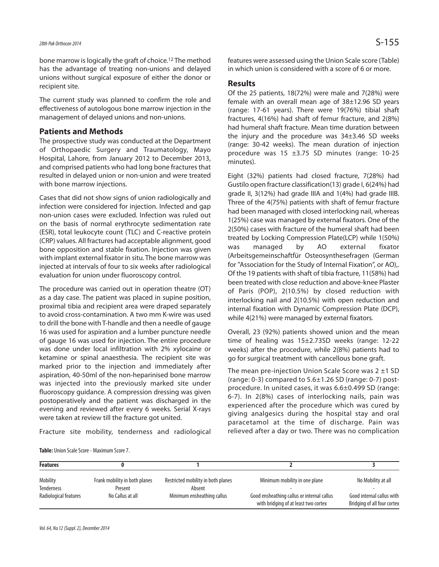bone marrow is logically the graft of choice.<sup>12</sup> The method has the advantage of treating non-unions and delayed unions without surgical exposure of either the donor or recipient site.

The current study was planned to confirm the role and effectiveness of autologous bone marrow injection in the management of delayed unions and non-unions.

### **Patients and Methods**

The prospective study was conducted at the Department of Orthopaedic Surgery and Traumatology, Mayo Hospital, Lahore, from January 2012 to December 2013, and comprised patients who had long bone fractures that resulted in delayed union or non-union and were treated with bone marrow injections.

Cases that did not show signs of union radiologically and infection were considered for injection. Infected and gap non-union cases were excluded. Infection was ruled out on the basis of normal erythrocyte sedimentation rate (ESR), total leukocyte count (TLC) and C-reactive protein (CRP) values. All fractures had acceptable alignment, good bone opposition and stable fixation. Injection was given with implant external fixator in situ. The bone marrow was injected at intervals of four to six weeks after radiological evaluation for union under fluoroscopy control.

The procedure was carried out in operation theatre (OT) as a day case. The patient was placed in supine position, proximal tibia and recipient area were draped separately to avoid cross-contamination. A two mm K-wire was used to drill the bone with T-handle and then a needle of gauge 16 was used for aspiration and a lumber puncture needle of gauge 16 was used for injection. The entire procedure was done under local infiltration with 2% xylocaine or ketamine or spinal anaesthesia. The recipient site was marked prior to the injection and immediately after aspiration, 40-50ml of the non-heparinised bone marrow was injected into the previously marked site under fluoroscopy guidance. A compression dressing was given postoperatively and the patient was discharged in the evening and reviewed after every 6 weeks. Serial X-rays were taken at review till the fracture got united.

Fracture site mobility, tenderness and radiological

features were assessed using the Union Scale score (Table) in which union is considered with a score of 6 or more.

### **Results**

Of the 25 patients, 18(72%) were male and 7(28%) were female with an overall mean age of 38±12.96 SD years (range: 17-61 years). There were 19(76%) tibial shaft fractures, 4(16%) had shaft of femur fracture, and 2(8%) had humeral shaft fracture. Mean time duration between the injury and the procedure was 34±3.46 SD weeks (range: 30-42 weeks). The mean duration of injection procedure was 15 ±3.75 SD minutes (range: 10-25 minutes).

Eight (32%) patients had closed fracture, 7(28%) had Gustilo open fracture classification(13) grade I, 6(24%) had grade II, 3(12%) had grade IIIA and 1(4%) had grade IIIB. Three of the 4(75%) patients with shaft of femur fracture had been managed with closed interlocking nail, whereas 1(25%) case was managed by external fixators. One of the 2(50%) cases with fracture of the humeral shaft had been treated by Locking Compression Plate(LCP) while 1(50%) was managed by AO external fixator (Arbeitsgemeinschaftfür Osteosynthesefragen (German for "Association for the Study of Internal Fixation", or AO),. Of the 19 patients with shaft of tibia fracture, 11(58%) had been treated with close reduction and above-knee Plaster of Paris (POP), 2(10.5%) by closed reduction with interlocking nail and 2(10.5%) with open reduction and internal fixation with Dynamic Compression Plate (DCP), while 4(21%) were managed by external fixators.

Overall, 23 (92%) patients showed union and the mean time of healing was 15±2.73SD weeks (range: 12-22 weeks) after the procedure, while 2(8%) patients had to go for surgical treatment with cancellous bone graft.

The mean pre-injection Union Scale Score was 2 ±1 SD (range: 0-3) compared to 5.6±1.26 SD (range: 0-7) postprocedure. In united cases, it was 6.6±0.499 SD (range: 6-7). In 2(8%) cases of interlocking nails, pain was experienced after the procedure which was cured by giving analgesics during the hospital stay and oral paracetamol at the time of discharge. Pain was relieved after a day or two. There was no complication

| <b>Features</b>       |                               |                                    |                                                                                    |                                                          |
|-----------------------|-------------------------------|------------------------------------|------------------------------------------------------------------------------------|----------------------------------------------------------|
| Mobility              | Frank mobility in both planes | Restricted mobility in both planes | Minimum mobility in one plane                                                      | No Mobility at all                                       |
| <b>Tenderness</b>     | Present                       | Absent                             |                                                                                    |                                                          |
| Radiological features | No Callus at all              | Minimum ensheathing callus         | Good ensheathing callus or internal callus<br>with bridging of at least two cortex | Good internal callus with<br>Bridging of all four cortex |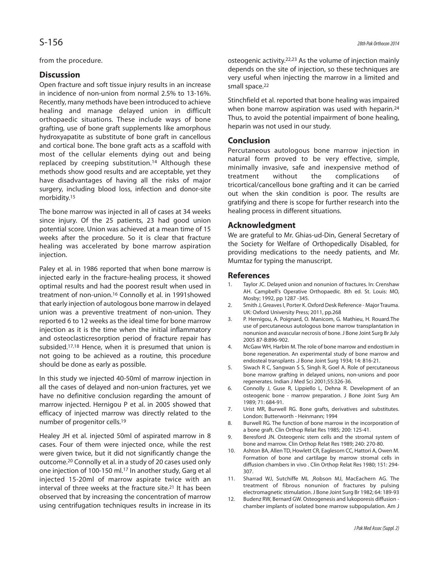from the procedure.

## **Discussion**

Open fracture and soft tissue injury results in an increase in incidence of non-union from normal 2.5% to 13-16%. Recently, many methods have been introduced to achieve healing and manage delayed union in difficult orthopaedic situations. These include ways of bone grafting, use of bone graft supplements like amorphous hydroxyapatite as substitute of bone graft in cancellous and cortical bone. The bone graft acts as a scaffold with most of the cellular elements dying out and being replaced by creeping substitution.<sup>14</sup> Although these methods show good results and are acceptable, yet they have disadvantages of having all the risks of major surgery, including blood loss, infection and donor-site morbidity.<sup>15</sup>

The bone marrow was injected in all of cases at 34 weeks since injury. Of the 25 patients, 23 had good union potential score. Union was achieved at a mean time of 15 weeks after the procedure. So it is clear that fracture healing was accelerated by bone marrow aspiration injection.

Paley et al. in 1986 reported that when bone marrow is injected early in the fracture-healing process, it showed optimal results and had the poorest result when used in treatment of non-union.<sup>16</sup> Connolly et al. in 1991showed that early injection of autologous bone marrow in delayed union was a preventive treatment of non-union. They reported 6 to 12 weeks as the ideal time for bone marrow injection as it is the time when the initial inflammatory and osteoclasticresorption period of fracture repair has subsided.<sup>17,18</sup> Hence, when it is presumed that union is not going to be achieved as a routine, this procedure should be done as early as possible.

In this study we injected 40-50ml of marrow injection in all the cases of delayed and non-union fractures, yet we have no definitive conclusion regarding the amount of marrow injected. Hernigou P et al. in 2005 showed that efficacy of injected marrow was directly related to the number of progenitor cells.<sup>19</sup>

Healey JH et al. injected 50ml of aspirated marrow in 8 cases. Four of them were injected once, while the rest were given twice, but it did not significantly change the outcome.<sup>20</sup> Connolly et al. in a study of 20 cases used only one injection of 100-150 ml.<sup>17</sup> In another study, Garg et al injected 15-20ml of marrow aspirate twice with an interval of three weeks at the fracture site.<sup>21</sup> It has been observed that by increasing the concentration of marrow using centrifugation techniques results in increase in its osteogenic activity.22,23 As the volume of injection mainly depends on the site of injection, so these techniques are very useful when injecting the marrow in a limited and small space.<sup>22</sup>

Stinchfield et al. reported that bone healing was impaired when bone marrow aspiration was used with heparin.<sup>24</sup> Thus, to avoid the potential impairment of bone healing, heparin was not used in our study.

### **Conclusion**

Percutaneous autologous bone marrow injection in natural form proved to be very effective, simple, minimally invasive, safe and inexpensive method of treatment without the complications of tricortical/cancellous bone grafting and it can be carried out when the skin condition is poor. The results are gratifying and there is scope for further research into the healing process in different situations.

### **Acknowledgment**

We are grateful to Mr. Ghias-ud-Din, General Secretary of the Society for Welfare of Orthopedically Disabled, for providing medications to the needy patients, and Mr. Mumtaz for typing the manuscript.

### **References**

- 1. Taylor JC. Delayed union and nonunion of fractures. In: Crenshaw AH. Campbell's Operative Orthopaedic. 8th ed. St. Louis: MO, Mosby; 1992, pp 1287 -345.
- 2. Smith J, Greaves I, Porter K. Oxford Desk Reference Major Trauma. UK: Oxford University Press; 2011, pp.268
- 3. P. Hernigou, A. Poignard, O. Manicom, G. Mathieu, H. Rouard.The use of percutaneous autologous bone marrow transplantation in nonunion and avascular necrosis of bone. J Bone Joint Surg Br July 2005 87-B:896-902.
- 4. McGaw WH, Harbin M. The role of bone marrow and endostium in bone regeneration. An experimental study of bone marrow and endosteal transplants .J Bone Joint Surg 1934; 14: 816-21.
- 5. Siwach R C, Sangwan S S, Singh R, Goel A. Role of percutaneous bone marrow grafting in delayed unions, non-unions and poor regenerates. Indian J Med Sci 2001;55:326-36.
- 6. Connolly J, Guse R, Lippiello L, Dehna R. Development of an osteogenic bone - marrow preparation. J Bone Joint Surg Am 1989; 71: 684-91.
- 7. Urist MR, Burwell RG. Bone grafts, derivatives and substitutes. London: Butterworth - Heinmann; 1994
- 8. Burwell RG. The function of bone marrow in the incorporation of a bone graft. Clin Orthop Relat Res 1985; 200: 125-41.
- 9. Beresford JN. Osteogenic stem cells and the stromal system of bone and marrow. Clin Orthop Relat Res 1989; 240: 270-80.
- 10. Ashton BA, Allen TD, Howlett CR, Eaglesom CC, Hattori A, Owen M. Formation of bone and cartilage by marrow stromal cells in diffusion chambers in vivo . Clin Orthop Relat Res 1980; 151: 294- 307.
- 11. Sharrad WJ, Sutchiffe ML ,Robson MJ, MacEachern AG. The treatment of fibrous nonunion of fractures by pulsing electromagnetic stimulation. J Bone Joint Surg Br 1982; 64: 189-93
- 12. Budenz RW, Bernard GW. Osteogenesis and lukoporesis diffusion chamber implants of isolated bone marrow subpopulation. Am J